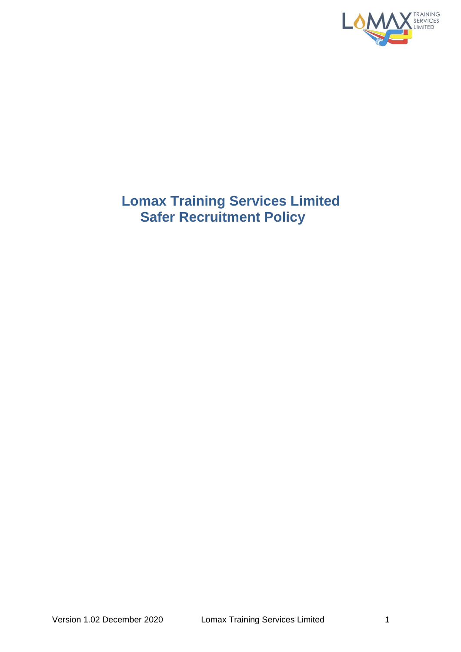

# **Lomax Training Services Limited Safer Recruitment Policy**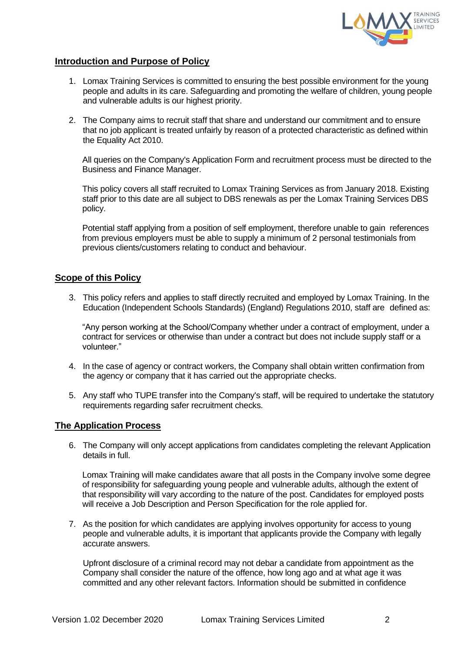

## **Introduction and Purpose of Policy**

- 1. Lomax Training Services is committed to ensuring the best possible environment for the young people and adults in its care. Safeguarding and promoting the welfare of children, young people and vulnerable adults is our highest priority.
- 2. The Company aims to recruit staff that share and understand our commitment and to ensure that no job applicant is treated unfairly by reason of a protected characteristic as defined within the Equality Act 2010.

All queries on the Company's Application Form and recruitment process must be directed to the Business and Finance Manager.

This policy covers all staff recruited to Lomax Training Services as from January 2018. Existing staff prior to this date are all subject to DBS renewals as per the Lomax Training Services DBS policy.

Potential staff applying from a position of self employment, therefore unable to gain references from previous employers must be able to supply a minimum of 2 personal testimonials from previous clients/customers relating to conduct and behaviour.

#### **Scope of this Policy**

3. This policy refers and applies to staff directly recruited and employed by Lomax Training. In the Education (Independent Schools Standards) (England) Regulations 2010, staff are defined as:

"Any person working at the School/Company whether under a contract of employment, under a contract for services or otherwise than under a contract but does not include supply staff or a volunteer."

- 4. In the case of agency or contract workers, the Company shall obtain written confirmation from the agency or company that it has carried out the appropriate checks.
- 5. Any staff who TUPE transfer into the Company's staff, will be required to undertake the statutory requirements regarding safer recruitment checks.

#### **The Application Process**

6. The Company will only accept applications from candidates completing the relevant Application details in full.

Lomax Training will make candidates aware that all posts in the Company involve some degree of responsibility for safeguarding young people and vulnerable adults, although the extent of that responsibility will vary according to the nature of the post. Candidates for employed posts will receive a Job Description and Person Specification for the role applied for.

7. As the position for which candidates are applying involves opportunity for access to young people and vulnerable adults, it is important that applicants provide the Company with legally accurate answers.

Upfront disclosure of a criminal record may not debar a candidate from appointment as the Company shall consider the nature of the offence, how long ago and at what age it was committed and any other relevant factors. Information should be submitted in confidence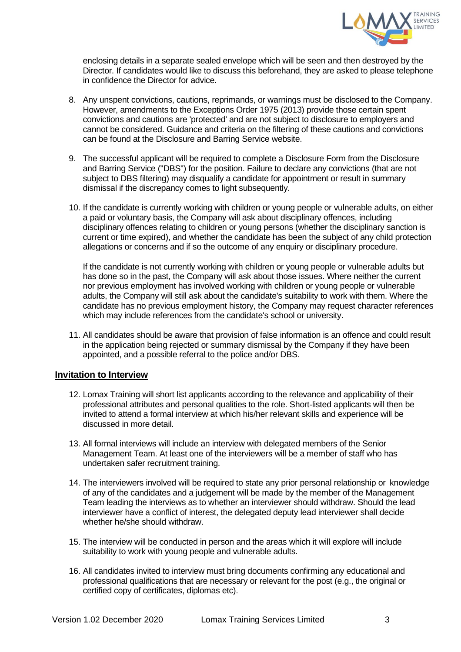

enclosing details in a separate sealed envelope which will be seen and then destroyed by the Director. If candidates would like to discuss this beforehand, they are asked to please telephone in confidence the Director for advice.

- 8. Any unspent convictions, cautions, reprimands, or warnings must be disclosed to the Company. However, amendments to the Exceptions Order 1975 (2013) provide those certain spent convictions and cautions are 'protected' and are not subject to disclosure to employers and cannot be considered. Guidance and criteria on the filtering of these cautions and convictions can be found at the Disclosure and Barring Service website.
- 9. The successful applicant will be required to complete a Disclosure Form from the Disclosure and Barring Service ("DBS") for the position. Failure to declare any convictions (that are not subject to DBS filtering) may disqualify a candidate for appointment or result in summary dismissal if the discrepancy comes to light subsequently.
- 10. If the candidate is currently working with children or young people or vulnerable adults, on either a paid or voluntary basis, the Company will ask about disciplinary offences, including disciplinary offences relating to children or young persons (whether the disciplinary sanction is current or time expired), and whether the candidate has been the subject of any child protection allegations or concerns and if so the outcome of any enquiry or disciplinary procedure.

If the candidate is not currently working with children or young people or vulnerable adults but has done so in the past, the Company will ask about those issues. Where neither the current nor previous employment has involved working with children or young people or vulnerable adults, the Company will still ask about the candidate's suitability to work with them. Where the candidate has no previous employment history, the Company may request character references which may include references from the candidate's school or university.

11. All candidates should be aware that provision of false information is an offence and could result in the application being rejected or summary dismissal by the Company if they have been appointed, and a possible referral to the police and/or DBS.

#### **Invitation to Interview**

- 12. Lomax Training will short list applicants according to the relevance and applicability of their professional attributes and personal qualities to the role. Short-listed applicants will then be invited to attend a formal interview at which his/her relevant skills and experience will be discussed in more detail.
- 13. All formal interviews will include an interview with delegated members of the Senior Management Team. At least one of the interviewers will be a member of staff who has undertaken safer recruitment training.
- 14. The interviewers involved will be required to state any prior personal relationship or knowledge of any of the candidates and a judgement will be made by the member of the Management Team leading the interviews as to whether an interviewer should withdraw. Should the lead interviewer have a conflict of interest, the delegated deputy lead interviewer shall decide whether he/she should withdraw.
- 15. The interview will be conducted in person and the areas which it will explore will include suitability to work with young people and vulnerable adults.
- 16. All candidates invited to interview must bring documents confirming any educational and professional qualifications that are necessary or relevant for the post (e.g., the original or certified copy of certificates, diplomas etc).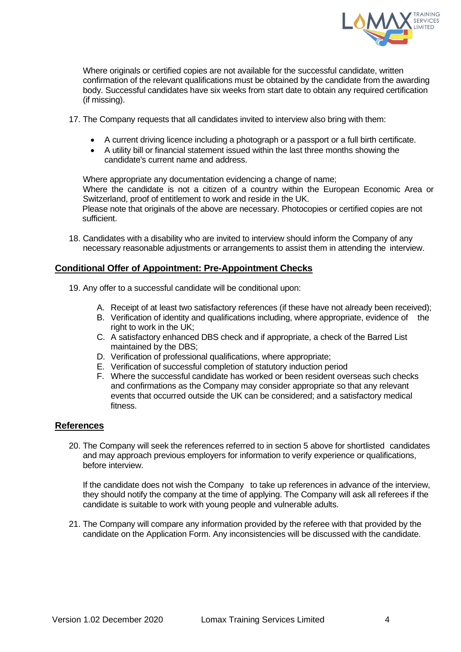

Where originals or certified copies are not available for the successful candidate, written confirmation of the relevant qualifications must be obtained by the candidate from the awarding body. Successful candidates have six weeks from start date to obtain any required certification (if missing).

- 17. The Company requests that all candidates invited to interview also bring with them:
	- A current driving licence including a photograph or a passport or a full birth certificate.
	- A utility bill or financial statement issued within the last three months showing the candidate's current name and address.

Where appropriate any documentation evidencing a change of name;

Where the candidate is not a citizen of a country within the European Economic Area or Switzerland, proof of entitlement to work and reside in the UK.

Please note that originals of the above are necessary. Photocopies or certified copies are not sufficient.

18. Candidates with a disability who are invited to interview should inform the Company of any necessary reasonable adjustments or arrangements to assist them in attending the interview.

### **Conditional Offer of Appointment: Pre-Appointment Checks**

- 19. Any offer to a successful candidate will be conditional upon:
	- A. Receipt of at least two satisfactory references (if these have not already been received);
	- B. Verification of identity and qualifications including, where appropriate, evidence of the right to work in the UK;
	- C. A satisfactory enhanced DBS check and if appropriate, a check of the Barred List maintained by the DBS;
	- D. Verification of professional qualifications, where appropriate;
	- E. Verification of successful completion of statutory induction period
	- F. Where the successful candidate has worked or been resident overseas such checks and confirmations as the Company may consider appropriate so that any relevant events that occurred outside the UK can be considered; and a satisfactory medical fitness.

#### **References**

20. The Company will seek the references referred to in section 5 above for shortlisted candidates and may approach previous employers for information to verify experience or qualifications, before interview.

If the candidate does not wish the Company to take up references in advance of the interview, they should notify the company at the time of applying. The Company will ask all referees if the candidate is suitable to work with young people and vulnerable adults.

21. The Company will compare any information provided by the referee with that provided by the candidate on the Application Form. Any inconsistencies will be discussed with the candidate.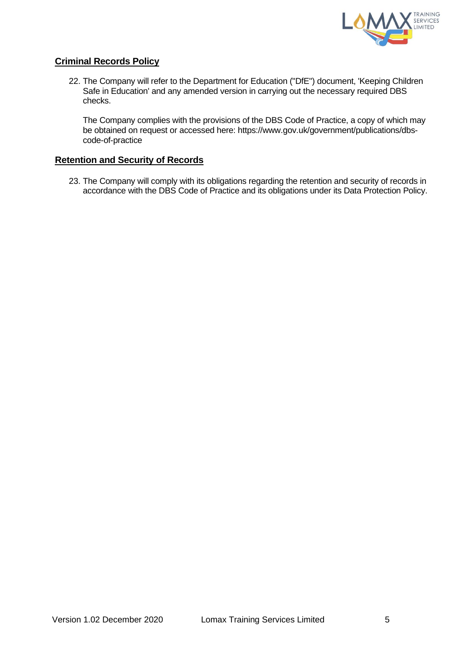

# **Criminal Records Policy**

22. The Company will refer to the Department for Education ("DfE") document, 'Keeping Children Safe in Education' and any amended version in carrying out the necessary required DBS checks.

The Company complies with the provisions of the DBS Code of Practice, a copy of which may be obtained on request or accessed here: https://www.gov.uk/government/publications/dbscode-of-practice

#### **Retention and Security of Records**

23. The Company will comply with its obligations regarding the retention and security of records in accordance with the DBS Code of Practice and its obligations under its Data Protection Policy.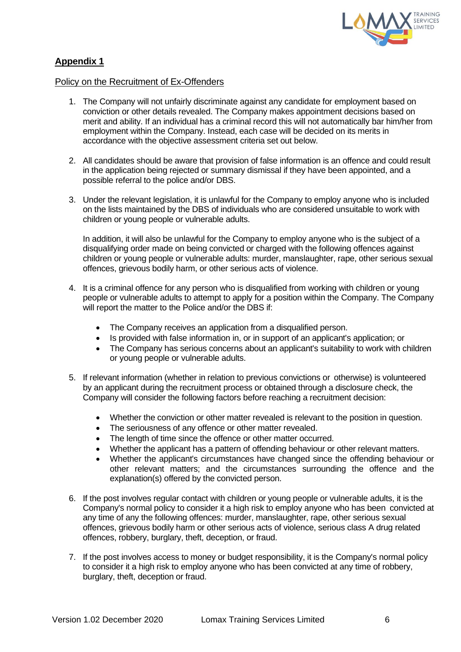

# **Appendix 1**

#### Policy on the Recruitment of Ex-Offenders

- 1. The Company will not unfairly discriminate against any candidate for employment based on conviction or other details revealed. The Company makes appointment decisions based on merit and ability. If an individual has a criminal record this will not automatically bar him/her from employment within the Company. Instead, each case will be decided on its merits in accordance with the objective assessment criteria set out below.
- 2. All candidates should be aware that provision of false information is an offence and could result in the application being rejected or summary dismissal if they have been appointed, and a possible referral to the police and/or DBS.
- 3. Under the relevant legislation, it is unlawful for the Company to employ anyone who is included on the lists maintained by the DBS of individuals who are considered unsuitable to work with children or young people or vulnerable adults.

In addition, it will also be unlawful for the Company to employ anyone who is the subject of a disqualifying order made on being convicted or charged with the following offences against children or young people or vulnerable adults: murder, manslaughter, rape, other serious sexual offences, grievous bodily harm, or other serious acts of violence.

- 4. It is a criminal offence for any person who is disqualified from working with children or young people or vulnerable adults to attempt to apply for a position within the Company. The Company will report the matter to the Police and/or the DBS if:
	- The Company receives an application from a disqualified person.
	- Is provided with false information in, or in support of an applicant's application; or
	- The Company has serious concerns about an applicant's suitability to work with children or young people or vulnerable adults.
- 5. If relevant information (whether in relation to previous convictions or otherwise) is volunteered by an applicant during the recruitment process or obtained through a disclosure check, the Company will consider the following factors before reaching a recruitment decision:
	- Whether the conviction or other matter revealed is relevant to the position in question.
	- The seriousness of any offence or other matter revealed.
	- The length of time since the offence or other matter occurred.
	- Whether the applicant has a pattern of offending behaviour or other relevant matters.
	- Whether the applicant's circumstances have changed since the offending behaviour or other relevant matters; and the circumstances surrounding the offence and the explanation(s) offered by the convicted person.
- 6. If the post involves regular contact with children or young people or vulnerable adults, it is the Company's normal policy to consider it a high risk to employ anyone who has been convicted at any time of any the following offences: murder, manslaughter, rape, other serious sexual offences, grievous bodily harm or other serious acts of violence, serious class A drug related offences, robbery, burglary, theft, deception, or fraud.
- 7. If the post involves access to money or budget responsibility, it is the Company's normal policy to consider it a high risk to employ anyone who has been convicted at any time of robbery, burglary, theft, deception or fraud.